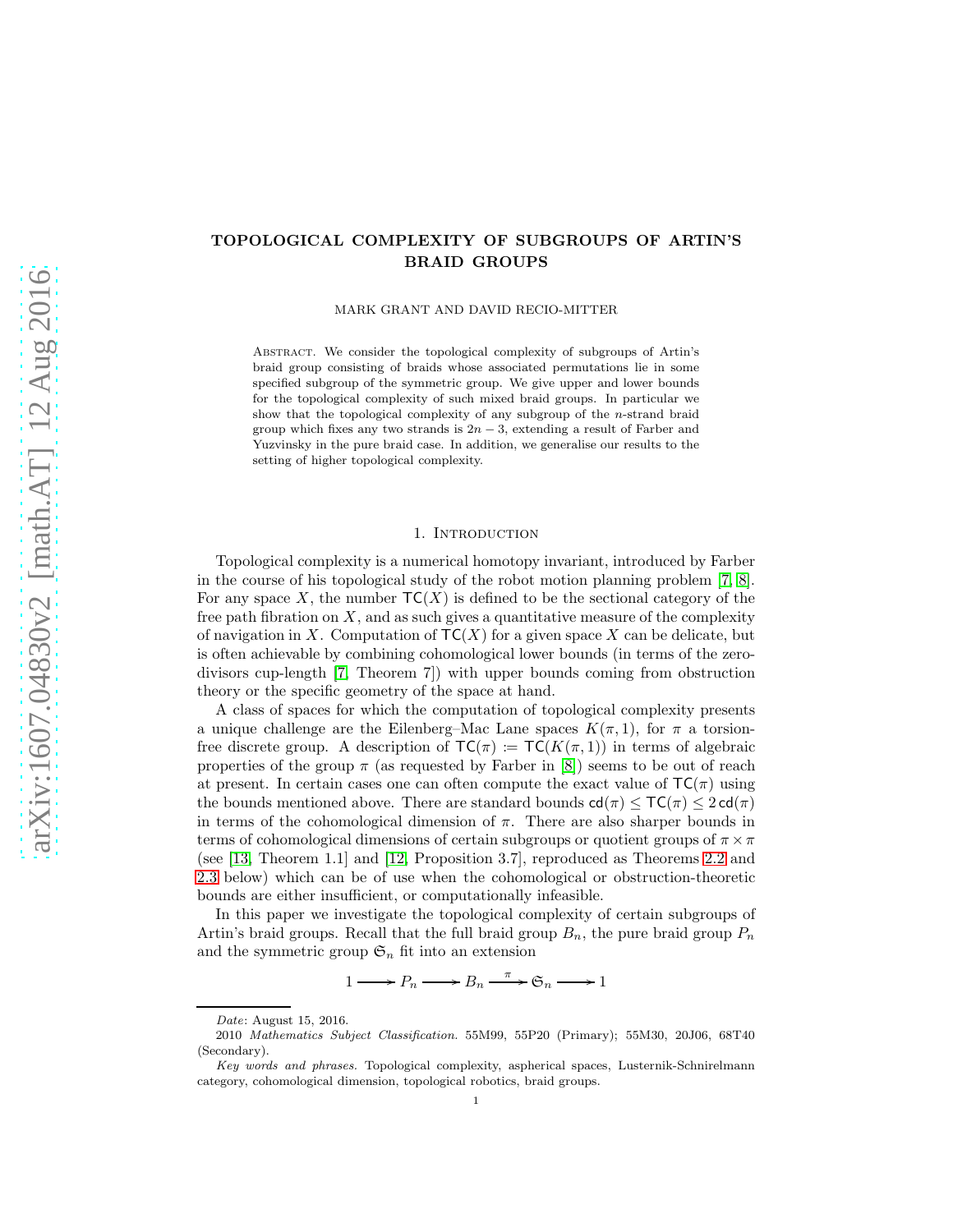# TOPOLOGICAL COMPLEXITY OF SUBGROUPS OF ARTIN'S BRAID GROUPS

MARK GRANT AND DAVID RECIO-MITTER

Abstract. We consider the topological complexity of subgroups of Artin's braid group consisting of braids whose associated permutations lie in some specified subgroup of the symmetric group. We give upper and lower bounds for the topological complexity of such mixed braid groups. In particular we show that the topological complexity of any subgroup of the n-strand braid group which fixes any two strands is  $2n-3$ , extending a result of Farber and Yuzvinsky in the pure braid case. In addition, we generalise our results to the setting of higher topological complexity.

#### 1. INTRODUCTION

Topological complexity is a numerical homotopy invariant, introduced by Farber in the course of his topological study of the robot motion planning problem [\[7,](#page-10-0) [8\]](#page-10-1). For any space X, the number  $TC(X)$  is defined to be the sectional category of the free path fibration on  $X$ , and as such gives a quantitative measure of the complexity of navigation in X. Computation of  $TC(X)$  for a given space X can be delicate, but is often achievable by combining cohomological lower bounds (in terms of the zerodivisors cup-length [\[7,](#page-10-0) Theorem 7]) with upper bounds coming from obstruction theory or the specific geometry of the space at hand.

A class of spaces for which the computation of topological complexity presents a unique challenge are the Eilenberg–Mac Lane spaces  $K(\pi, 1)$ , for  $\pi$  a torsionfree discrete group. A description of  $TC(\pi) := TC(K(\pi, 1))$  in terms of algebraic properties of the group  $\pi$  (as requested by Farber in [\[8\]](#page-10-1)) seems to be out of reach at present. In certain cases one can often compute the exact value of  $TC(\pi)$  using the bounds mentioned above. There are standard bounds  $\mathsf{cd}(\pi) \leq \mathsf{TC}(\pi) \leq 2 \mathsf{cd}(\pi)$ in terms of the cohomological dimension of  $\pi$ . There are also sharper bounds in terms of cohomological dimensions of certain subgroups or quotient groups of  $\pi \times \pi$ (see [\[13,](#page-11-0) Theorem 1.1] and [\[12,](#page-11-1) Proposition 3.7], reproduced as Theorems [2.2](#page-2-0) and [2.3](#page-2-1) below) which can be of use when the cohomological or obstruction-theoretic bounds are either insufficient, or computationally infeasible.

In this paper we investigate the topological complexity of certain subgroups of Artin's braid groups. Recall that the full braid group  $B_n$ , the pure braid group  $P_n$ and the symmetric group  $\mathfrak{S}_n$  fit into an extension

 $1 \longrightarrow P_n \longrightarrow B_n \xrightarrow{\pi} \mathfrak{S}_n \longrightarrow 1$ 

Date: August 15, 2016.

<sup>2010</sup> Mathematics Subject Classification. 55M99, 55P20 (Primary); 55M30, 20J06, 68T40 (Secondary).

Key words and phrases. Topological complexity, aspherical spaces, Lusternik-Schnirelmann category, cohomological dimension, topological robotics, braid groups.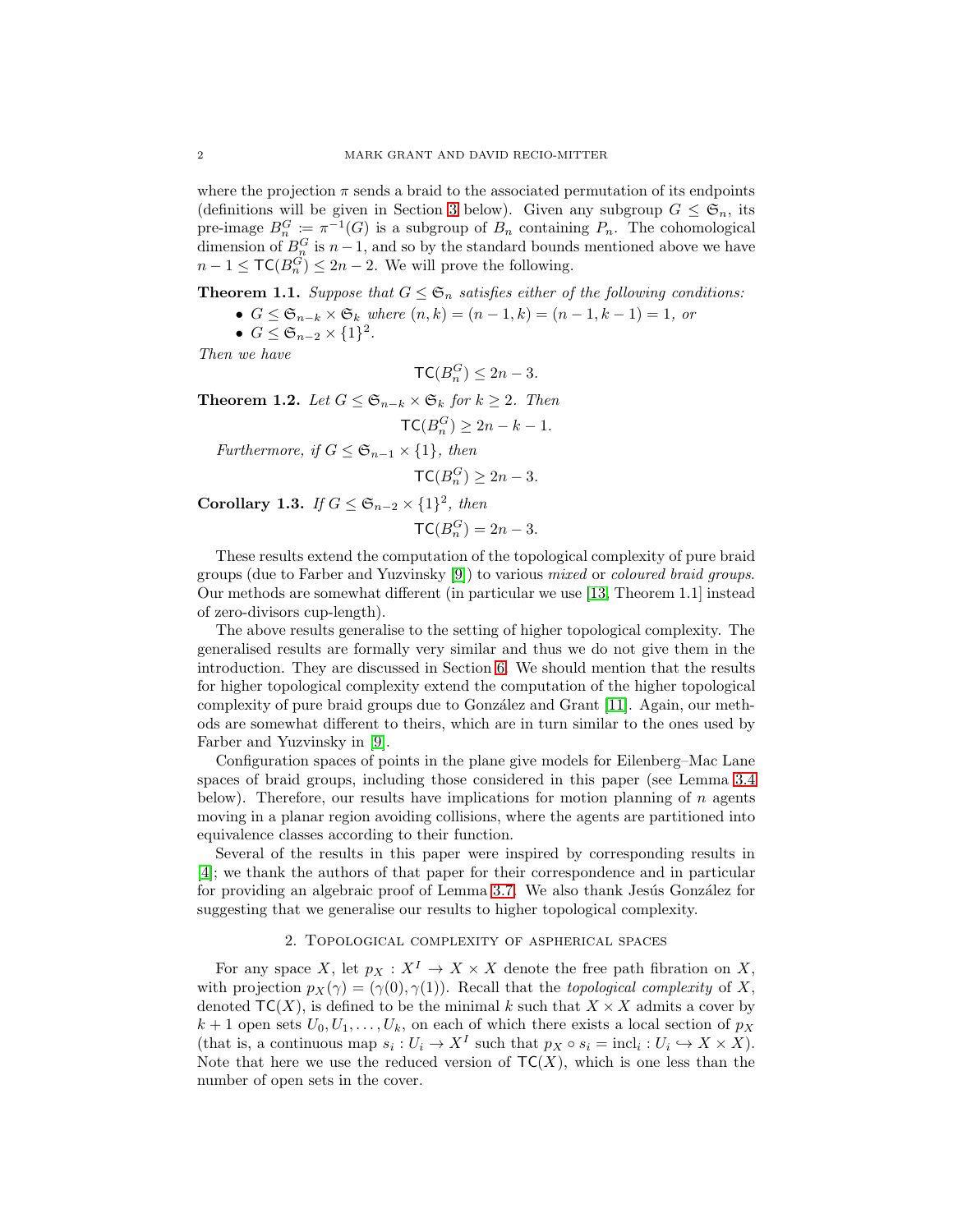where the projection  $\pi$  sends a braid to the associated permutation of its endpoints (definitions will be given in Section [3](#page-2-2) below). Given any subgroup  $G \leq \mathfrak{S}_n$ , its pre-image  $B_n^G := \pi^{-1}(G)$  is a subgroup of  $B_n$  containing  $P_n$ . The cohomological dimension of  $B_n^G$  is  $n-1$ , and so by the standard bounds mentioned above we have  $n-1 \leq \mathsf{TC}(B_n^{\tilde{G}}) \leq 2n-2$ . We will prove the following.

**Theorem 1.1.** *Suppose that*  $G \leq \mathfrak{S}_n$  *satisfies either of the following conditions:* 

- $G \leq \mathfrak{S}_{n-k} \times \mathfrak{S}_k$  *where*  $(n, k) = (n 1, k) = (n 1, k 1) = 1$ , *or*
- $G \leq \mathfrak{S}_{n-2} \times \{1\}^2$ .

*Then we have*

$$
\mathsf{TC}(B_n^G) \le 2n - 3.
$$

**Theorem 1.2.** *Let*  $G \leq \mathfrak{S}_{n-k} \times \mathfrak{S}_k$  *for*  $k ≥ 2$ *. Then* 

$$
\mathsf{TC}(B_n^G) \ge 2n - k - 1.
$$

*Furthermore, if*  $G \leq \mathfrak{S}_{n-1} \times \{1\}$ *, then* 

$$
\mathsf{TC}(B_n^G) \ge 2n - 3.
$$

Corollary 1.3. *If*  $G \leq \mathfrak{S}_{n-2} \times \{1\}^2$ , then

$$
\mathsf{TC}(B_n^G) = 2n - 3.
$$

These results extend the computation of the topological complexity of pure braid groups (due to Farber and Yuzvinsky [\[9\]](#page-10-2)) to various *mixed* or *coloured braid groups*. Our methods are somewhat different (in particular we use [\[13,](#page-11-0) Theorem 1.1] instead of zero-divisors cup-length).

The above results generalise to the setting of higher topological complexity. The generalised results are formally very similar and thus we do not give them in the introduction. They are discussed in Section [6.](#page-9-0) We should mention that the results for higher topological complexity extend the computation of the higher topological complexity of pure braid groups due to González and Grant [\[11\]](#page-11-2). Again, our methods are somewhat different to theirs, which are in turn similar to the ones used by Farber and Yuzvinsky in [\[9\]](#page-10-2).

Configuration spaces of points in the plane give models for Eilenberg–Mac Lane spaces of braid groups, including those considered in this paper (see Lemma [3.4](#page-3-0) below). Therefore, our results have implications for motion planning of  $n$  agents moving in a planar region avoiding collisions, where the agents are partitioned into equivalence classes according to their function.

Several of the results in this paper were inspired by corresponding results in [\[4\]](#page-10-3); we thank the authors of that paper for their correspondence and in particular for providing an algebraic proof of Lemma [3.7.](#page-4-0) We also thank Jesús González for suggesting that we generalise our results to higher topological complexity.

## 2. Topological complexity of aspherical spaces

For any space X, let  $p_X : X^I \to X \times X$  denote the free path fibration on X, with projection  $p_X(\gamma) = (\gamma(0), \gamma(1))$ . Recall that the *topological complexity* of X, denoted  $TC(X)$ , is defined to be the minimal k such that  $X \times X$  admits a cover by  $k+1$  open sets  $U_0, U_1, \ldots, U_k$ , on each of which there exists a local section of  $p_X$ (that is, a continuous map  $s_i: U_i \to X^I$  such that  $p_X \circ s_i = \text{incl}_i: U_i \hookrightarrow X \times X$ ). Note that here we use the reduced version of  $TC(X)$ , which is one less than the number of open sets in the cover.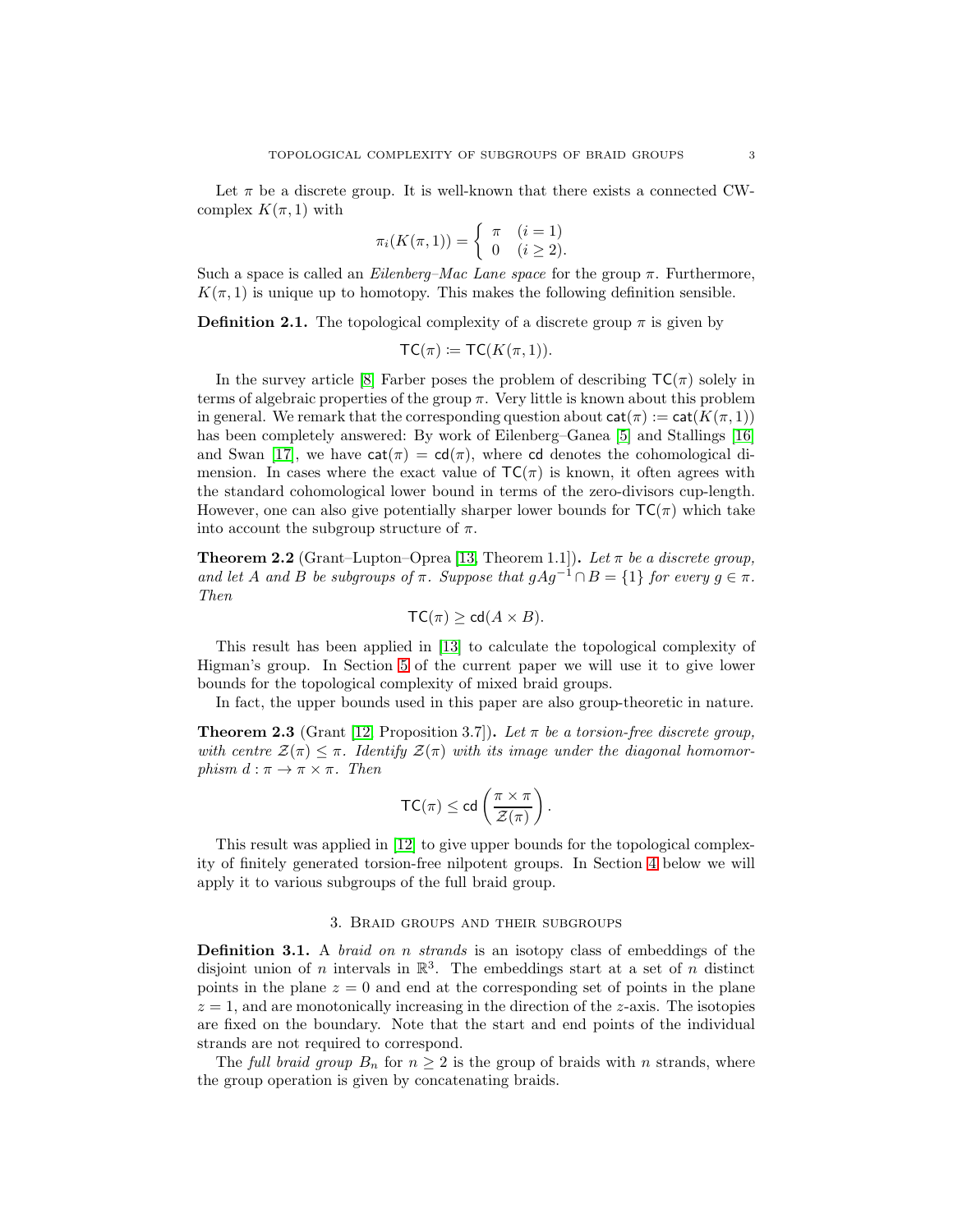Let  $\pi$  be a discrete group. It is well-known that there exists a connected CWcomplex  $K(\pi, 1)$  with

$$
\pi_i(K(\pi, 1)) = \begin{cases} \pi & (i = 1) \\ 0 & (i \ge 2). \end{cases}
$$

Such a space is called an *Eilenberg–Mac Lane space* for the group π. Furthermore,  $K(\pi, 1)$  is unique up to homotopy. This makes the following definition sensible.

**Definition 2.1.** The topological complexity of a discrete group  $\pi$  is given by

$$
TC(\pi) := TC(K(\pi, 1)).
$$

In the survey article [\[8\]](#page-10-1) Farber poses the problem of describing  $TC(\pi)$  solely in terms of algebraic properties of the group  $\pi$ . Very little is known about this problem in general. We remark that the corresponding question about  $cat(\pi) := cat(K(\pi, 1))$ has been completely answered: By work of Eilenberg–Ganea [\[5\]](#page-10-4) and Stallings [\[16\]](#page-11-3) and Swan [\[17\]](#page-11-4), we have  $cat(\pi) = cd(\pi)$ , where cd denotes the cohomological dimension. In cases where the exact value of  $TC(\pi)$  is known, it often agrees with the standard cohomological lower bound in terms of the zero-divisors cup-length. However, one can also give potentially sharper lower bounds for  $TC(\pi)$  which take into account the subgroup structure of  $\pi$ .

<span id="page-2-0"></span>**Theorem 2.2** (Grant–Lupton–Oprea [\[13,](#page-11-0) Theorem 1.1]). Let  $\pi$  be a discrete group, *and let* A *and* B *be subgroups of*  $\pi$ *. Suppose that*  $gAg^{-1} \cap B = \{1\}$  *for every*  $g \in \pi$ *. Then*

$$
TC(\pi) \geq cd(A \times B).
$$

This result has been applied in [\[13\]](#page-11-0) to calculate the topological complexity of Higman's group. In Section [5](#page-7-0) of the current paper we will use it to give lower bounds for the topological complexity of mixed braid groups.

In fact, the upper bounds used in this paper are also group-theoretic in nature.

<span id="page-2-1"></span>**Theorem 2.3** (Grant [\[12,](#page-11-1) Proposition 3.7]). Let  $\pi$  be a torsion-free discrete group, with centre  $\mathcal{Z}(\pi) \leq \pi$ . Identify  $\mathcal{Z}(\pi)$  with its image under the diagonal homomor*phism*  $d : \pi \to \pi \times \pi$ *. Then* 

$$
\mathsf{TC}(\pi) \leq \mathsf{cd}\left(\frac{\pi \times \pi}{\mathcal{Z}(\pi)}\right).
$$

This result was applied in [\[12\]](#page-11-1) to give upper bounds for the topological complexity of finitely generated torsion-free nilpotent groups. In Section [4](#page-5-0) below we will apply it to various subgroups of the full braid group.

### 3. Braid groups and their subgroups

<span id="page-2-2"></span>Definition 3.1. A *braid on* n *strands* is an isotopy class of embeddings of the disjoint union of *n* intervals in  $\mathbb{R}^3$ . The embeddings start at a set of *n* distinct points in the plane  $z = 0$  and end at the corresponding set of points in the plane  $z = 1$ , and are monotonically increasing in the direction of the z-axis. The isotopies are fixed on the boundary. Note that the start and end points of the individual strands are not required to correspond.

The *full braid group*  $B_n$  for  $n \geq 2$  is the group of braids with n strands, where the group operation is given by concatenating braids.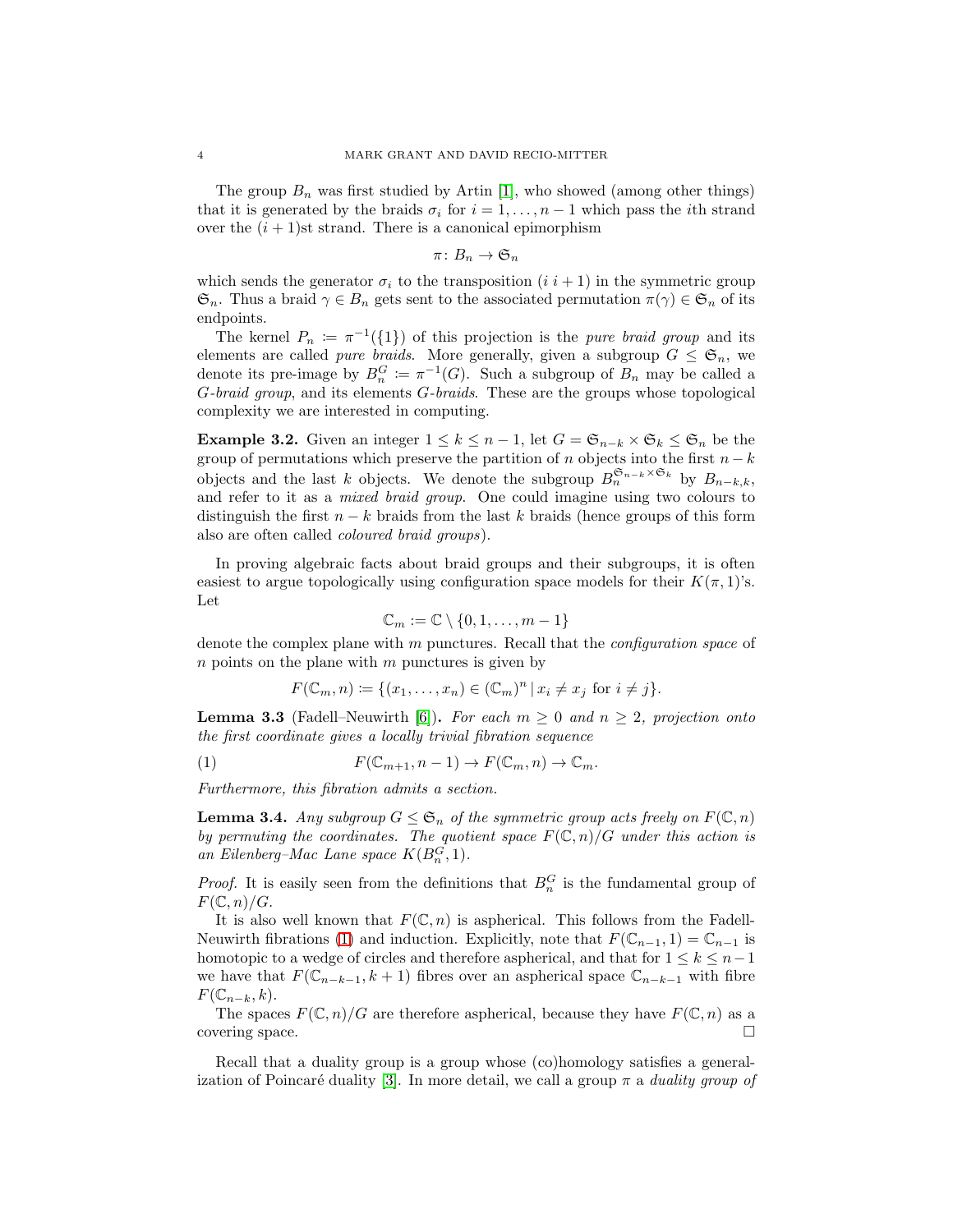The group  $B_n$  was first studied by Artin [\[1\]](#page-10-5), who showed (among other things) that it is generated by the braids  $\sigma_i$  for  $i = 1, \ldots, n-1$  which pass the *i*th strand over the  $(i + 1)$ st strand. There is a canonical epimorphism

 $\pi\colon B_n\to \mathfrak{S}_n$ 

which sends the generator  $\sigma_i$  to the transposition  $(i \, i + 1)$  in the symmetric group  $\mathfrak{S}_n$ . Thus a braid  $\gamma \in B_n$  gets sent to the associated permutation  $\pi(\gamma) \in \mathfrak{S}_n$  of its endpoints.

The kernel  $P_n := \pi^{-1}(\{1\})$  of this projection is the *pure braid group* and its elements are called *pure braids*. More generally, given a subgroup  $G \leq \mathfrak{S}_n$ , we denote its pre-image by  $B_n^G := \pi^{-1}(G)$ . Such a subgroup of  $B_n$  may be called a G*-braid group*, and its elements G*-braids*. These are the groups whose topological complexity we are interested in computing.

<span id="page-3-3"></span>**Example 3.2.** Given an integer  $1 \leq k \leq n-1$ , let  $G = \mathfrak{S}_{n-k} \times \mathfrak{S}_k \leq \mathfrak{S}_n$  be the group of permutations which preserve the partition of n objects into the first  $n - k$ objects and the last k objects. We denote the subgroup  $B_n^{\mathfrak{S}_{n-k}\times\mathfrak{S}_k}$  by  $B_{n-k,k}$ , and refer to it as a *mixed braid group*. One could imagine using two colours to distinguish the first  $n - k$  braids from the last k braids (hence groups of this form also are often called *coloured braid groups*).

In proving algebraic facts about braid groups and their subgroups, it is often easiest to argue topologically using configuration space models for their  $K(\pi, 1)$ 's. Let

$$
\mathbb{C}_m := \mathbb{C} \setminus \{0, 1, \dots, m-1\}
$$

denote the complex plane with m punctures. Recall that the *configuration space* of  $n$  points on the plane with  $m$  punctures is given by

<span id="page-3-1"></span>
$$
F(\mathbb{C}_m, n) \coloneqq \{ (x_1, \dots, x_n) \in (\mathbb{C}_m)^n \mid x_i \neq x_j \text{ for } i \neq j \}.
$$

<span id="page-3-2"></span>**Lemma 3.3** (Fadell–Neuwirth [\[6\]](#page-10-6)). For each  $m \geq 0$  and  $n \geq 2$ , projection onto *the first coordinate gives a locally trivial fibration sequence*

(1) 
$$
F(\mathbb{C}_{m+1}, n-1) \to F(\mathbb{C}_m, n) \to \mathbb{C}_m.
$$

*Furthermore, this fibration admits a section.*

<span id="page-3-0"></span>**Lemma 3.4.** *Any subgroup*  $G \leq \mathfrak{S}_n$  *of the symmetric group acts freely on*  $F(\mathbb{C}, n)$ *by permuting the coordinates. The quotient space*  $F(\mathbb{C}, n)/G$  *under this action is* an Eilenberg–Mac Lane space  $K(B_n^G, 1)$ .

*Proof.* It is easily seen from the definitions that  $B_n^G$  is the fundamental group of  $F(\mathbb{C}, n)/G$ .

It is also well known that  $F(\mathbb{C}, n)$  is aspherical. This follows from the Fadell-Neuwirth fibrations [\(1\)](#page-3-1) and induction. Explicitly, note that  $F(\mathbb{C}_{n-1}, 1) = \mathbb{C}_{n-1}$  is homotopic to a wedge of circles and therefore aspherical, and that for  $1 \leq k \leq n-1$ we have that  $F(\mathbb{C}_{n-k-1}, k+1)$  fibres over an aspherical space  $\mathbb{C}_{n-k-1}$  with fibre  $F(\mathbb{C}_{n-k}, k)$ .

The spaces  $F(\mathbb{C}, n)/G$  are therefore aspherical, because they have  $F(\mathbb{C}, n)$  as a covering space.

Recall that a duality group is a group whose (co)homology satisfies a general-ization of Poincaré duality [\[3\]](#page-10-7). In more detail, we call a group  $\pi$  a *duality group of*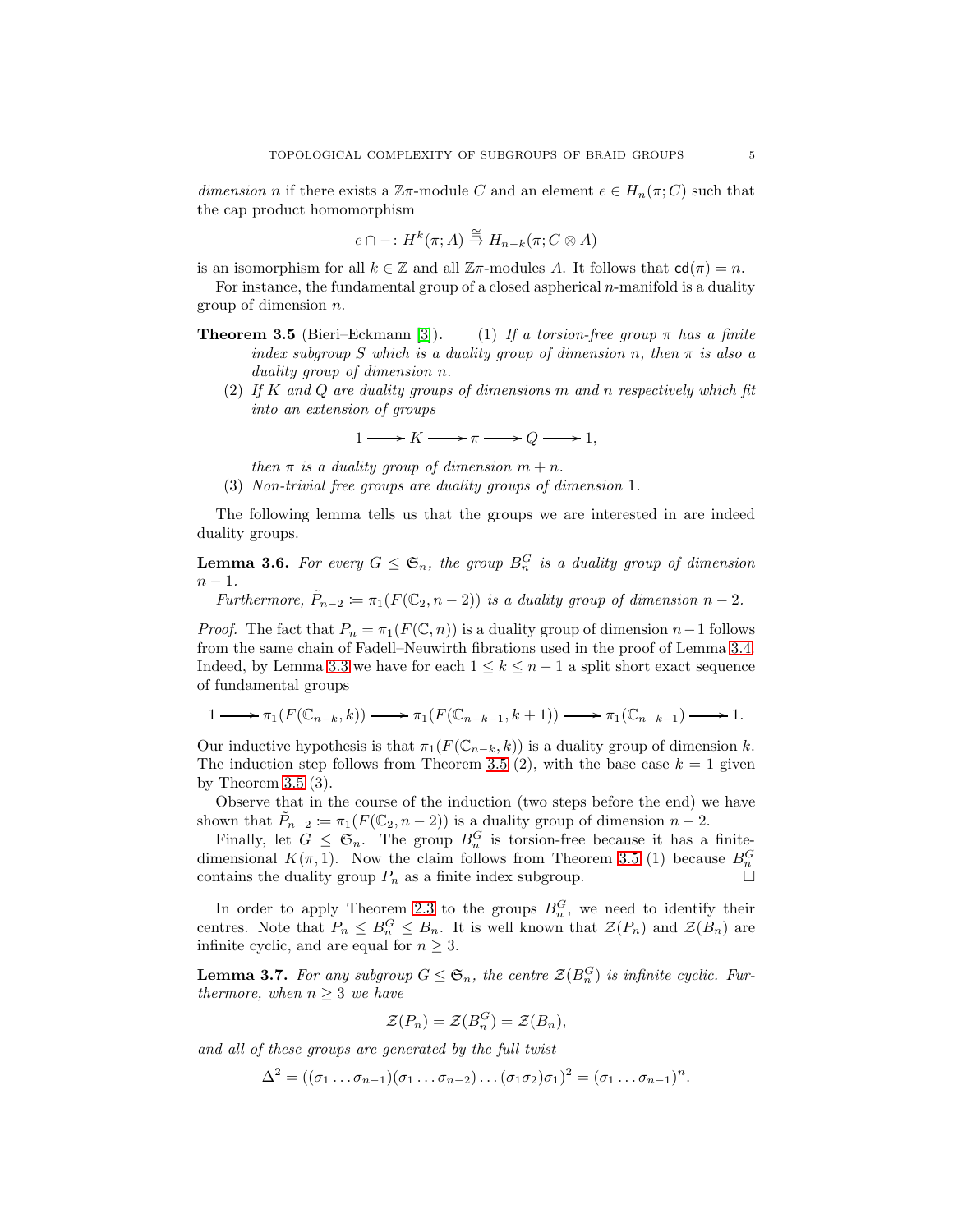*dimension* n if there exists a  $\mathbb{Z}\pi$ -module C and an element  $e \in H_n(\pi; C)$  such that the cap product homomorphism

$$
e \cap -: H^k(\pi; A) \stackrel{\cong}{\to} H_{n-k}(\pi; C \otimes A)
$$

is an isomorphism for all  $k \in \mathbb{Z}$  and all  $\mathbb{Z}\pi$ -modules A. It follows that  $cd(\pi) = n$ .

For instance, the fundamental group of a closed aspherical  $n$ -manifold is a duality group of dimension n.

- **Theorem 3.5** (Bieri–Eckmann [\[3\]](#page-10-7)). (1) *If a torsion-free group*  $\pi$  *has a finite index subgroup* S *which is a duality group of dimension* n, then  $\pi$  *is also a duality group of dimension* n*.*
	- (2) *If* K *and* Q *are duality groups of dimensions* m *and* n *respectively which fit into an extension of groups*

 $1 \longrightarrow K \longrightarrow \pi \longrightarrow Q \longrightarrow 1,$ 

- *then*  $\pi$  *is a duality group of dimension*  $m + n$ *.*
- (3) *Non-trivial free groups are duality groups of dimension* 1*.*

The following lemma tells us that the groups we are interested in are indeed duality groups.

<span id="page-4-1"></span>**Lemma 3.6.** For every  $G \leq \mathfrak{S}_n$ , the group  $B_n^G$  is a duality group of dimension  $n - 1$ .

*Furthermore,*  $\tilde{P}_{n-2} := \pi_1(F(\mathbb{C}_2, n-2))$  *is a duality group of dimension*  $n-2$ *.* 

*Proof.* The fact that  $P_n = \pi_1(F(\mathbb{C}, n))$  is a duality group of dimension  $n-1$  follows from the same chain of Fadell–Neuwirth fibrations used in the proof of Lemma [3.4.](#page-3-0) Indeed, by Lemma [3.3](#page-3-2) we have for each  $1 \leq k \leq n-1$  a split short exact sequence of fundamental groups

$$
1 \longrightarrow \pi_1(F(\mathbb{C}_{n-k}, k)) \longrightarrow \pi_1(F(\mathbb{C}_{n-k-1}, k+1)) \longrightarrow \pi_1(\mathbb{C}_{n-k-1}) \longrightarrow 1.
$$

Our inductive hypothesis is that  $\pi_1(F(\mathbb{C}_{n-k}, k))$  is a duality group of dimension k. The induction step follows from Theorem 3.5 (2), with the base case  $k = 1$  given by Theorem 3.5 (3).

Observe that in the course of the induction (two steps before the end) we have shown that  $\tilde{P}_{n-2} \coloneqq \pi_1(F(\mathbb{C}_2, n-2))$  is a duality group of dimension  $n-2$ .

Finally, let  $G \leq \mathfrak{S}_n$ . The group  $B_n^G$  is torsion-free because it has a finitedimensional  $K(\pi,1)$ . Now the claim follows from Theorem 3.5 (1) because  $B_n^G$ contains the duality group  $P_n$  as a finite index subgroup.

In order to apply Theorem [2.3](#page-2-1) to the groups  $B_n^G$ , we need to identify their centres. Note that  $P_n \leq B_n^G \leq B_n$ . It is well known that  $\mathcal{Z}(P_n)$  and  $\mathcal{Z}(B_n)$  are infinite cyclic, and are equal for  $n \geq 3$ .

<span id="page-4-0"></span>**Lemma 3.7.** For any subgroup  $G \leq \mathfrak{S}_n$ , the centre  $\mathcal{Z}(B_n^G)$  is infinite cyclic. Fur*thermore, when*  $n \geq 3$  *we have* 

$$
\mathcal{Z}(P_n) = \mathcal{Z}(B_n^G) = \mathcal{Z}(B_n),
$$

*and all of these groups are generated by the full twist*

 $\Delta^2 = ((\sigma_1 \dots \sigma_{n-1})(\sigma_1 \dots \sigma_{n-2})\dots (\sigma_1 \sigma_2)\sigma_1)^2 = (\sigma_1 \dots \sigma_{n-1})^n.$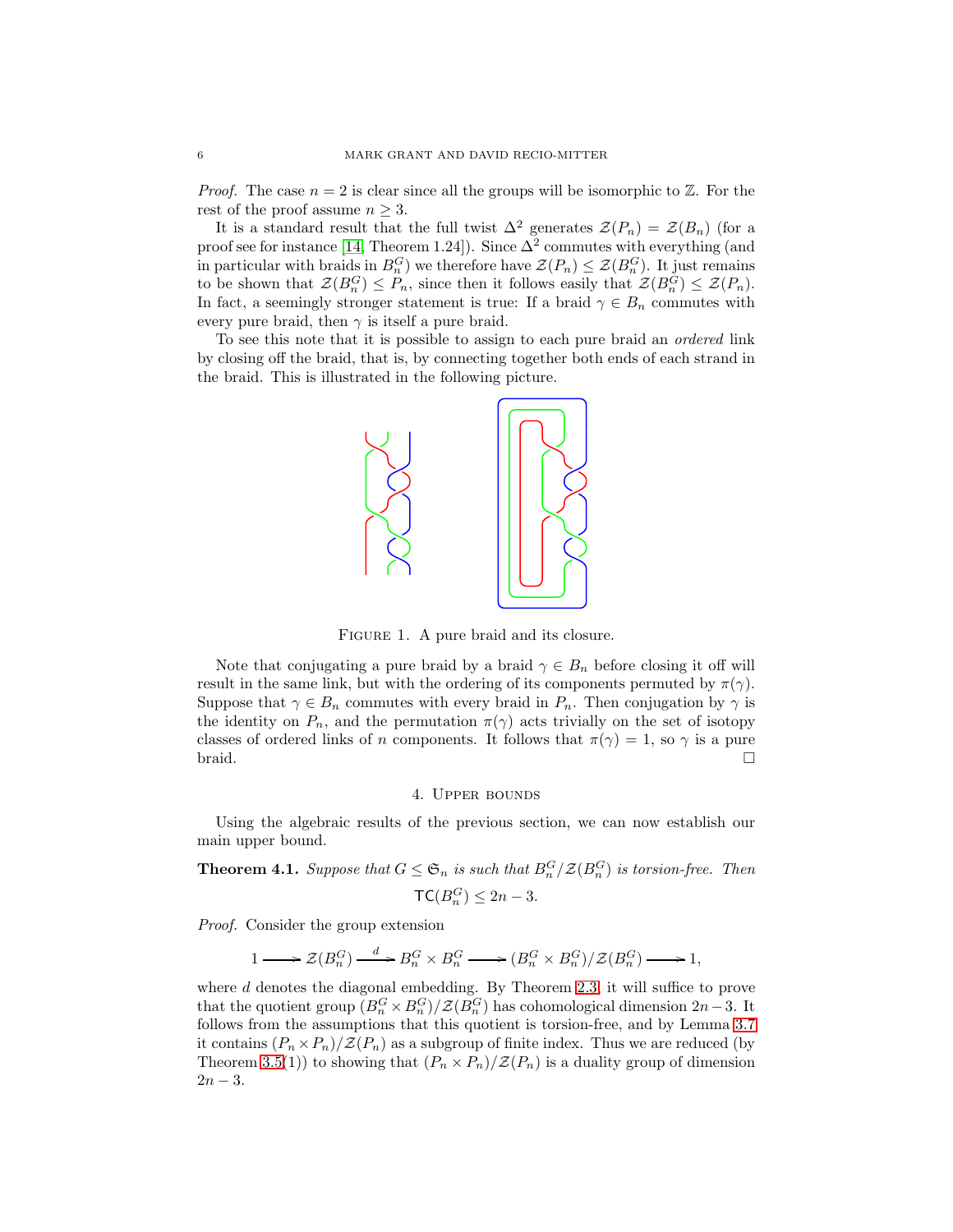*Proof.* The case  $n = 2$  is clear since all the groups will be isomorphic to  $\mathbb{Z}$ . For the rest of the proof assume  $n \geq 3$ .

It is a standard result that the full twist  $\Delta^2$  generates  $\mathcal{Z}(P_n) = \mathcal{Z}(B_n)$  (for a proof see for instance [\[14,](#page-11-5) Theorem 1.24]). Since  $\Delta^2$  commutes with everything (and in particular with braids in  $B_n^G$ ) we therefore have  $\mathcal{Z}(P_n) \leq \mathcal{Z}(B_n^G)$ . It just remains to be shown that  $\mathcal{Z}(B_n^G) \leq P_n$ , since then it follows easily that  $\mathcal{Z}(B_n^G) \leq \mathcal{Z}(P_n)$ . In fact, a seemingly stronger statement is true: If a braid  $\gamma \in B_n$  commutes with every pure braid, then  $\gamma$  is itself a pure braid.

To see this note that it is possible to assign to each pure braid an *ordered* link by closing off the braid, that is, by connecting together both ends of each strand in the braid. This is illustrated in the following picture.



FIGURE 1. A pure braid and its closure.

Note that conjugating a pure braid by a braid  $\gamma \in B_n$  before closing it off will result in the same link, but with the ordering of its components permuted by  $\pi(\gamma)$ . Suppose that  $\gamma \in B_n$  commutes with every braid in  $P_n$ . Then conjugation by  $\gamma$  is the identity on  $P_n$ , and the permutation  $\pi(\gamma)$  acts trivially on the set of isotopy classes of ordered links of n components. It follows that  $\pi(\gamma) = 1$ , so  $\gamma$  is a pure braid.

#### 4. Upper bounds

<span id="page-5-0"></span>Using the algebraic results of the previous section, we can now establish our main upper bound.

<span id="page-5-1"></span>**Theorem 4.1.** *Suppose that*  $G \leq \mathfrak{S}_n$  *is such that*  $B_n^G / \mathcal{Z}(B_n^G)$  *is torsion-free. Then*  $\mathsf{TC}(B_n^G) \leq 2n-3.$ 

*Proof.* Consider the group extension

$$
1 \longrightarrow \mathcal{Z}(B_n^G) \xrightarrow{d} B_n^G \times B_n^G \longrightarrow (B_n^G \times B_n^G)/\mathcal{Z}(B_n^G) \longrightarrow 1,
$$

where  $d$  denotes the diagonal embedding. By Theorem [2.3,](#page-2-1) it will suffice to prove that the quotient group  $(B_n^G \times B_n^G)/\mathcal{Z}(B_n^G)$  has cohomological dimension  $2n-3$ . It follows from the assumptions that this quotient is torsion-free, and by Lemma [3.7](#page-4-0) it contains  $(P_n \times P_n)/\mathcal{Z}(P_n)$  as a subgroup of finite index. Thus we are reduced (by Theorem 3.5(1)) to showing that  $(P_n \times P_n)/\mathcal{Z}(P_n)$  is a duality group of dimension  $2n - 3$ .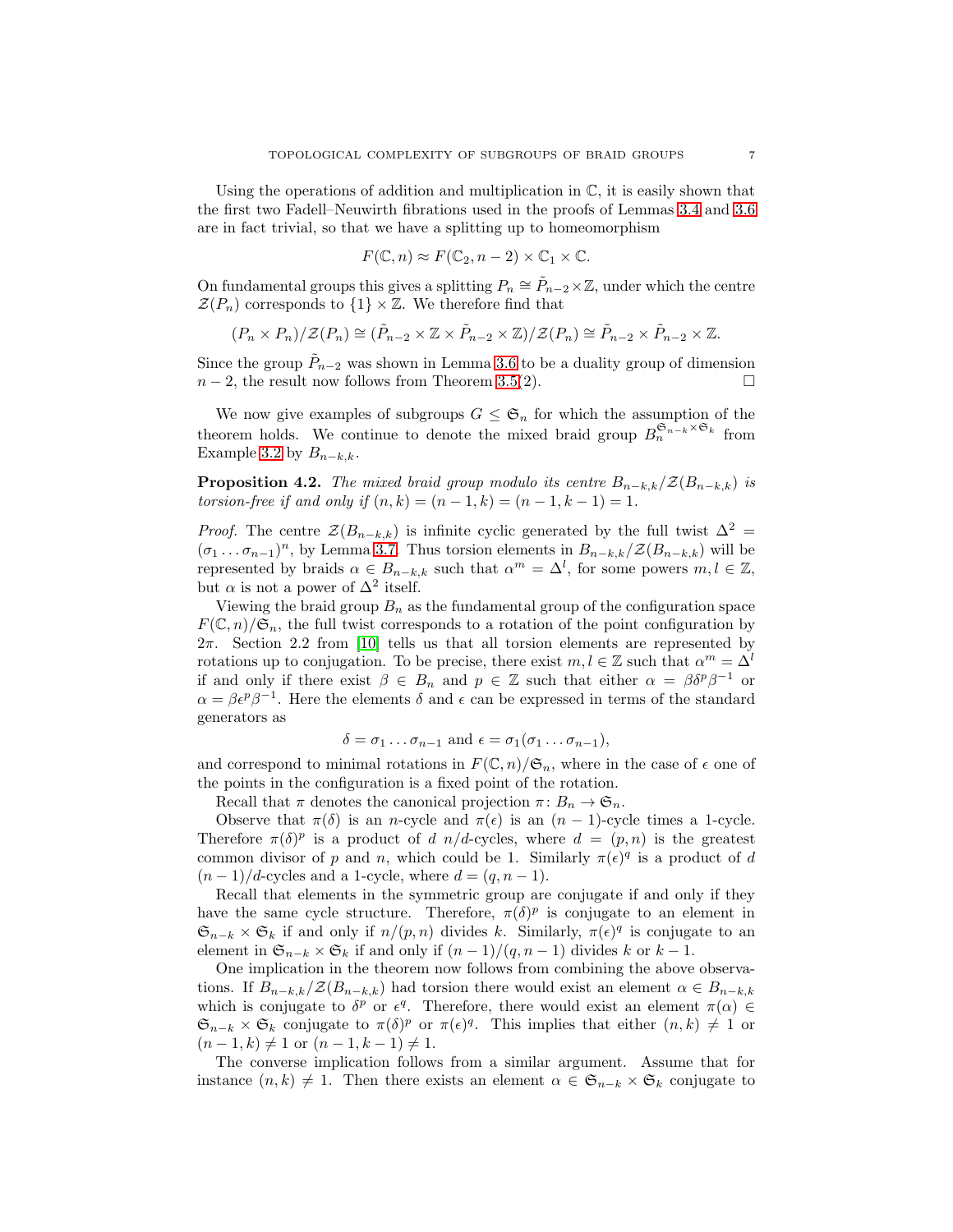Using the operations of addition and multiplication in  $\mathbb{C}$ , it is easily shown that the first two Fadell–Neuwirth fibrations used in the proofs of Lemmas [3.4](#page-3-0) and [3.6](#page-4-1) are in fact trivial, so that we have a splitting up to homeomorphism

$$
F(\mathbb{C}, n) \approx F(\mathbb{C}_2, n-2) \times \mathbb{C}_1 \times \mathbb{C}.
$$

On fundamental groups this gives a splitting  $P_n \cong \tilde{P}_{n-2} \times \mathbb{Z}$ , under which the centre  $\mathcal{Z}(P_n)$  corresponds to  $\{1\} \times \mathbb{Z}$ . We therefore find that

$$
(P_n \times P_n)/\mathcal{Z}(P_n) \cong (\tilde{P}_{n-2} \times \mathbb{Z} \times \tilde{P}_{n-2} \times \mathbb{Z})/\mathcal{Z}(P_n) \cong \tilde{P}_{n-2} \times \tilde{P}_{n-2} \times \mathbb{Z}.
$$

Since the group  $\tilde{P}_{n-2}$  was shown in Lemma [3.6](#page-4-1) to be a duality group of dimension  $n-2$ , the result now follows from Theorem 3.5(2).

We now give examples of subgroups  $G \leq \mathfrak{S}_n$  for which the assumption of the theorem holds. We continue to denote the mixed braid group  $B_n^{\mathfrak{S}_{n-k} \times \mathfrak{S}_k}$  from Example [3.2](#page-3-3) by  $B_{n-k,k}$ .

**Proposition 4.2.** *The mixed braid group modulo its centre*  $B_{n-k,k}/\mathcal{Z}(B_{n-k,k})$  *is torsion-free if and only if*  $(n, k) = (n - 1, k) = (n - 1, k - 1) = 1$ .

*Proof.* The centre  $\mathcal{Z}(B_{n-k,k})$  is infinite cyclic generated by the full twist  $\Delta^2 =$  $(\sigma_1 \dots \sigma_{n-1})^n$ , by Lemma [3.7.](#page-4-0) Thus torsion elements in  $B_{n-k,k}/\mathcal{Z}(B_{n-k,k})$  will be represented by braids  $\alpha \in B_{n-k,k}$  such that  $\alpha^m = \Delta^l$ , for some powers  $m, l \in \mathbb{Z}$ , but  $\alpha$  is not a power of  $\Delta^2$  itself.

Viewing the braid group  $B_n$  as the fundamental group of the configuration space  $F(\mathbb{C}, n)/\mathfrak{S}_n$ , the full twist corresponds to a rotation of the point configuration by  $2\pi$ . Section 2.2 from [\[10\]](#page-10-8) tells us that all torsion elements are represented by rotations up to conjugation. To be precise, there exist  $m, l \in \mathbb{Z}$  such that  $\alpha^m = \Delta^l$ if and only if there exist  $\beta \in B_n$  and  $p \in \mathbb{Z}$  such that either  $\alpha = \beta \delta^p \beta^{-1}$  or  $\alpha = \beta \epsilon^p \beta^{-1}$ . Here the elements  $\delta$  and  $\epsilon$  can be expressed in terms of the standard generators as

$$
\delta = \sigma_1 \dots \sigma_{n-1} \text{ and } \epsilon = \sigma_1(\sigma_1 \dots \sigma_{n-1}),
$$

and correspond to minimal rotations in  $F(\mathbb{C}, n)/\mathfrak{S}_n$ , where in the case of  $\epsilon$  one of the points in the configuration is a fixed point of the rotation.

Recall that  $\pi$  denotes the canonical projection  $\pi: B_n \to \mathfrak{S}_n$ .

Observe that  $\pi(\delta)$  is an n-cycle and  $\pi(\epsilon)$  is an  $(n-1)$ -cycle times a 1-cycle. Therefore  $\pi(\delta)^p$  is a product of d n/d-cycles, where  $d = (p, n)$  is the greatest common divisor of p and n, which could be 1. Similarly  $\pi(\epsilon)^q$  is a product of d  $(n-1)/d$ -cycles and a 1-cycle, where  $d = (q, n-1)$ .

Recall that elements in the symmetric group are conjugate if and only if they have the same cycle structure. Therefore,  $\pi(\delta)^p$  is conjugate to an element in  $\mathfrak{S}_{n-k} \times \mathfrak{S}_k$  if and only if  $n/(p, n)$  divides k. Similarly,  $\pi(\epsilon)^q$  is conjugate to an element in  $\mathfrak{S}_{n-k} \times \mathfrak{S}_k$  if and only if  $(n-1)/(q, n-1)$  divides k or  $k-1$ .

One implication in the theorem now follows from combining the above observations. If  $B_{n-k,k}/\mathcal{Z}(B_{n-k,k})$  had torsion there would exist an element  $\alpha \in B_{n-k,k}$ which is conjugate to  $\delta^p$  or  $\epsilon^q$ . Therefore, there would exist an element  $\pi(\alpha) \in$  $\mathfrak{S}_{n-k} \times \mathfrak{S}_k$  conjugate to  $\pi(\delta)^p$  or  $\pi(\epsilon)^q$ . This implies that either  $(n,k) \neq 1$  or  $(n-1,k) \neq 1$  or  $(n-1,k-1) \neq 1$ .

The converse implication follows from a similar argument. Assume that for instance  $(n, k) \neq 1$ . Then there exists an element  $\alpha \in \mathfrak{S}_{n-k} \times \mathfrak{S}_k$  conjugate to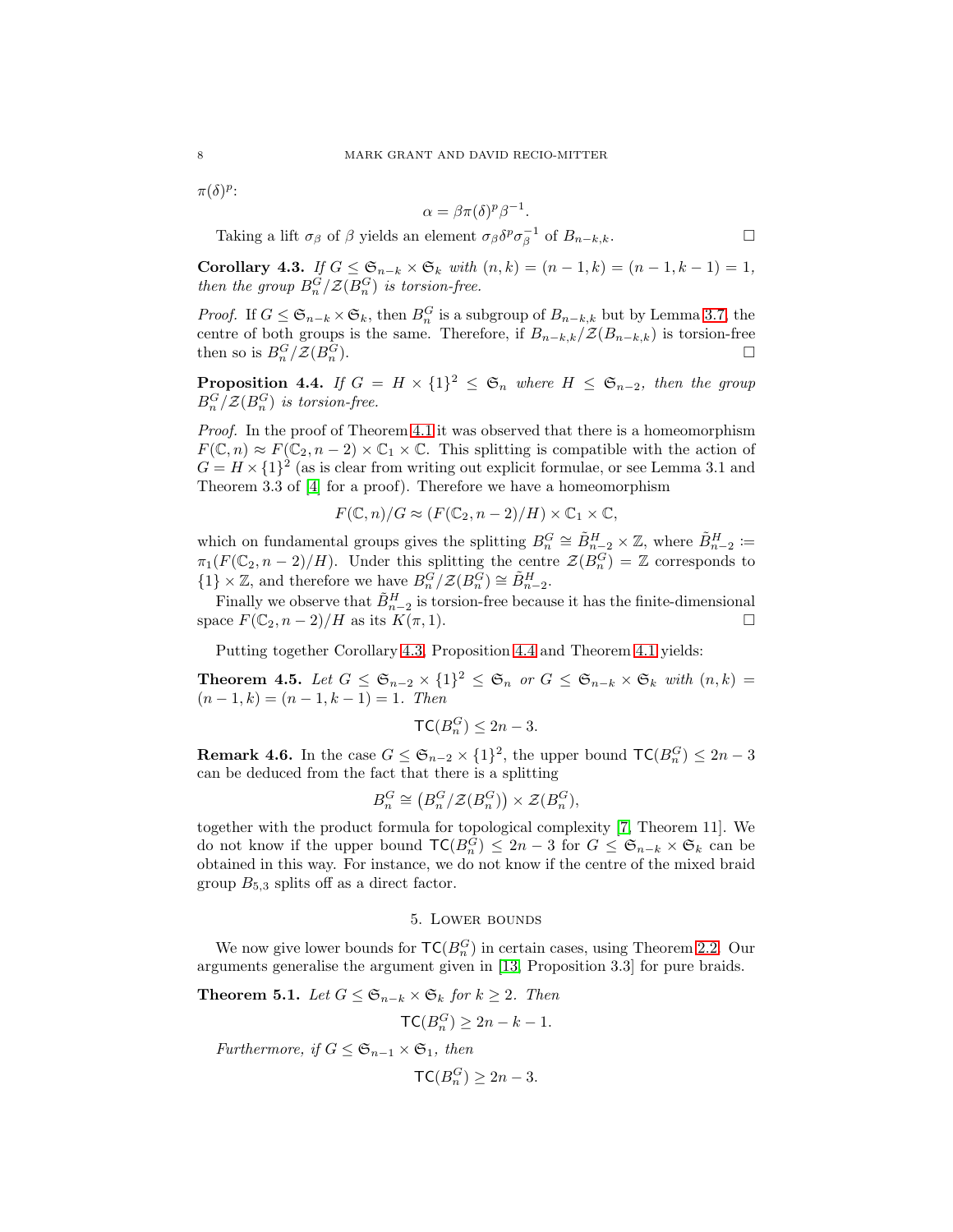$\pi(\delta)^p$ :

$$
\alpha = \beta \pi(\delta)^p \beta^{-1}
$$

.

Taking a lift  $\sigma_{\beta}$  of  $\beta$  yields an element  $\sigma_{\beta} \delta^p \sigma_{\beta}^{-1}$  of  $B_{n-k,k}$ .

<span id="page-7-1"></span>Corollary 4.3. *If*  $G \leq \mathfrak{S}_{n-k} \times \mathfrak{S}_k$  *with*  $(n, k) = (n - 1, k) = (n - 1, k - 1) = 1$ , *then the group*  $B_n^G/\mathcal{Z}(B_n^G)$  *is torsion-free.* 

*Proof.* If  $G \leq \mathfrak{S}_{n-k} \times \mathfrak{S}_k$ , then  $B_n^G$  is a subgroup of  $B_{n-k,k}$  but by Lemma [3.7,](#page-4-0) the centre of both groups is the same. Therefore, if  $B_{n-k,k}/\mathcal{Z}(B_{n-k,k})$  is torsion-free then so is  $B_n^G/\mathcal{Z}(B_n^G)$ ).

<span id="page-7-2"></span>**Proposition 4.4.** *If*  $G = H \times \{1\}^2 \leq \mathfrak{S}_n$  *where*  $H \leq \mathfrak{S}_{n-2}$ *, then the group*  $B_n^G/\mathcal{Z}(B_n^G)$  is torsion-free.

*Proof.* In the proof of Theorem [4.1](#page-5-1) it was observed that there is a homeomorphism  $F(\mathbb{C}, n) \approx F(\mathbb{C}_2, n-2) \times \mathbb{C}_1 \times \mathbb{C}$ . This splitting is compatible with the action of  $G = H \times \{1\}^2$  (as is clear from writing out explicit formulae, or see Lemma 3.1 and Theorem 3.3 of [\[4\]](#page-10-3) for a proof). Therefore we have a homeomorphism

$$
F(\mathbb{C}, n)/G \approx (F(\mathbb{C}_2, n-2)/H) \times \mathbb{C}_1 \times \mathbb{C},
$$

which on fundamental groups gives the splitting  $B_n^G \cong \tilde{B}_{n-2}^H \times \mathbb{Z}$ , where  $\tilde{B}_{n-2}^H \coloneqq$  $\pi_1(F(\mathbb{C}_2, n-2)/H)$ . Under this splitting the centre  $\mathcal{Z}(B_n^G) = \mathbb{Z}$  corresponds to  ${1} \times \mathbb{Z}$ , and therefore we have  $B_n^G/\mathcal{Z}(B_n^G) \cong \tilde{B}_{n-2}^H$ .

Finally we observe that  $\tilde{B}_{n-2}^H$  is torsion-free because it has the finite-dimensional space  $F(\mathbb{C}_2, n-2)/H$  as its  $K(\pi, 1)$ .

Putting together Corollary [4.3,](#page-7-1) Proposition [4.4](#page-7-2) and Theorem [4.1](#page-5-1) yields:

<span id="page-7-3"></span>**Theorem 4.5.** Let  $G \leq \mathfrak{S}_{n-2} \times \{1\}^2 \leq \mathfrak{S}_n$  or  $G \leq \mathfrak{S}_{n-k} \times \mathfrak{S}_k$  with  $(n,k) =$  $(n-1,k) = (n-1,k-1) = 1$ . Then

$$
\mathsf{TC}(B_n^G) \le 2n - 3.
$$

**Remark 4.6.** In the case  $G \leq \mathfrak{S}_{n-2} \times \{1\}^2$ , the upper bound  $\mathsf{TC}(B_n^G) \leq 2n-3$ can be deduced from the fact that there is a splitting

$$
B_n^G \cong \left( B_n^G/\mathcal{Z}(B_n^G) \right) \times \mathcal{Z}(B_n^G),
$$

together with the product formula for topological complexity [\[7,](#page-10-0) Theorem 11]. We do not know if the upper bound  $\mathsf{TC}(B_n^G) \leq 2n-3$  for  $G \leq \mathfrak{S}_{n-k} \times \mathfrak{S}_k$  can be obtained in this way. For instance, we do not know if the centre of the mixed braid group  $B_{5,3}$  splits off as a direct factor.

## 5. Lower bounds

<span id="page-7-0"></span>We now give lower bounds for  $TC(B_n^G)$  in certain cases, using Theorem [2.2.](#page-2-0) Our arguments generalise the argument given in [\[13,](#page-11-0) Proposition 3.3] for pure braids.

**Theorem 5.1.** *Let*  $G$  ≤  $\mathfrak{S}_{n-k}$  ×  $\mathfrak{S}_k$  *for*  $k ≥ 2$ *. Then* 

$$
\mathsf{TC}(B_n^G) \ge 2n - k - 1.
$$

*Furthermore, if*  $G \leq \mathfrak{S}_{n-1} \times \mathfrak{S}_1$ *, then* 

$$
\mathsf{TC}(B_n^G) \ge 2n - 3.
$$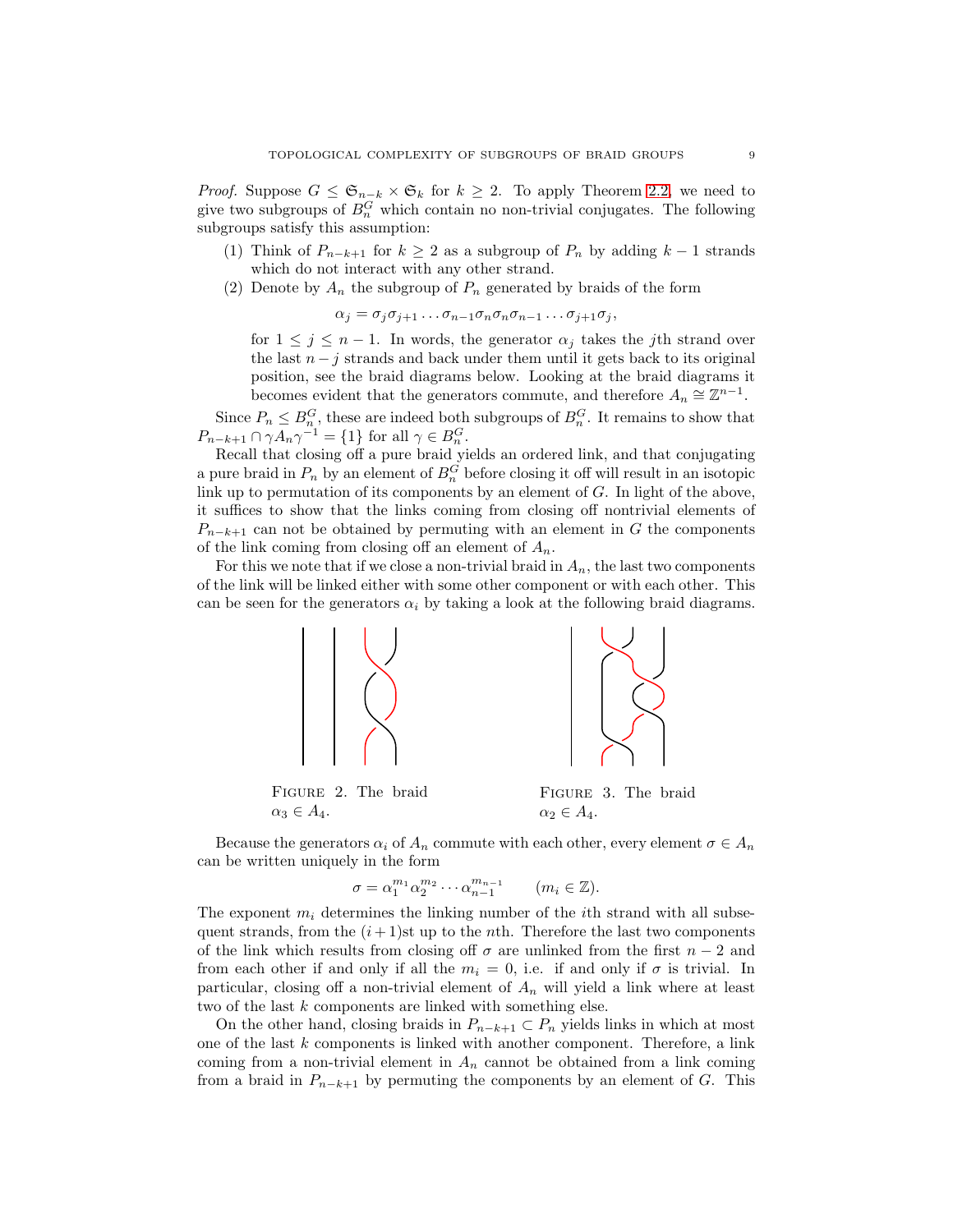*Proof.* Suppose  $G \leq \mathfrak{S}_{n-k} \times \mathfrak{S}_k$  for  $k \geq 2$ . To apply Theorem [2.2,](#page-2-0) we need to give two subgroups of  $B_n^G$  which contain no non-trivial conjugates. The following subgroups satisfy this assumption:

- (1) Think of  $P_{n-k+1}$  for  $k \geq 2$  as a subgroup of  $P_n$  by adding  $k-1$  strands which do not interact with any other strand.
- (2) Denote by  $A_n$  the subgroup of  $P_n$  generated by braids of the form

$$
\alpha_j = \sigma_j \sigma_{j+1} \dots \sigma_{n-1} \sigma_n \sigma_n \sigma_{n-1} \dots \sigma_{j+1} \sigma_j,
$$

for  $1 \leq j \leq n-1$ . In words, the generator  $\alpha_j$  takes the *j*th strand over the last  $n - j$  strands and back under them until it gets back to its original position, see the braid diagrams below. Looking at the braid diagrams it becomes evident that the generators commute, and therefore  $A_n \cong \mathbb{Z}^{n-1}$ .

Since  $P_n \n\t\leq B_n^G$ , these are indeed both subgroups of  $B_n^G$ . It remains to show that  $P_{n-k+1} \cap \gamma A_n \gamma^{-1} = \{1\}$  for all  $\gamma \in B_n^G$ .

Recall that closing off a pure braid yields an ordered link, and that conjugating a pure braid in  $P_n$  by an element of  $B_n^G$  before closing it off will result in an isotopic link up to permutation of its components by an element of  $G$ . In light of the above, it suffices to show that the links coming from closing off nontrivial elements of  $P_{n-k+1}$  can not be obtained by permuting with an element in G the components of the link coming from closing off an element of  $A_n$ .

For this we note that if we close a non-trivial braid in  $A_n$ , the last two components of the link will be linked either with some other component or with each other. This can be seen for the generators  $\alpha_i$  by taking a look at the following braid diagrams.



Because the generators  $\alpha_i$  of  $A_n$  commute with each other, every element  $\sigma \in A_n$ can be written uniquely in the form

$$
\sigma = \alpha_1^{m_1} \alpha_2^{m_2} \cdots \alpha_{n-1}^{m_{n-1}} \qquad (m_i \in \mathbb{Z}).
$$

The exponent  $m_i$  determines the linking number of the *i*th strand with all subsequent strands, from the  $(i+1)$ st up to the nth. Therefore the last two components of the link which results from closing off  $\sigma$  are unlinked from the first  $n-2$  and from each other if and only if all the  $m_i = 0$ , i.e. if and only if  $\sigma$  is trivial. In particular, closing off a non-trivial element of  $A_n$  will yield a link where at least two of the last k components are linked with something else.

On the other hand, closing braids in  $P_{n-k+1} \subset P_n$  yields links in which at most one of the last  $k$  components is linked with another component. Therefore, a link coming from a non-trivial element in  $A_n$  cannot be obtained from a link coming from a braid in  $P_{n-k+1}$  by permuting the components by an element of G. This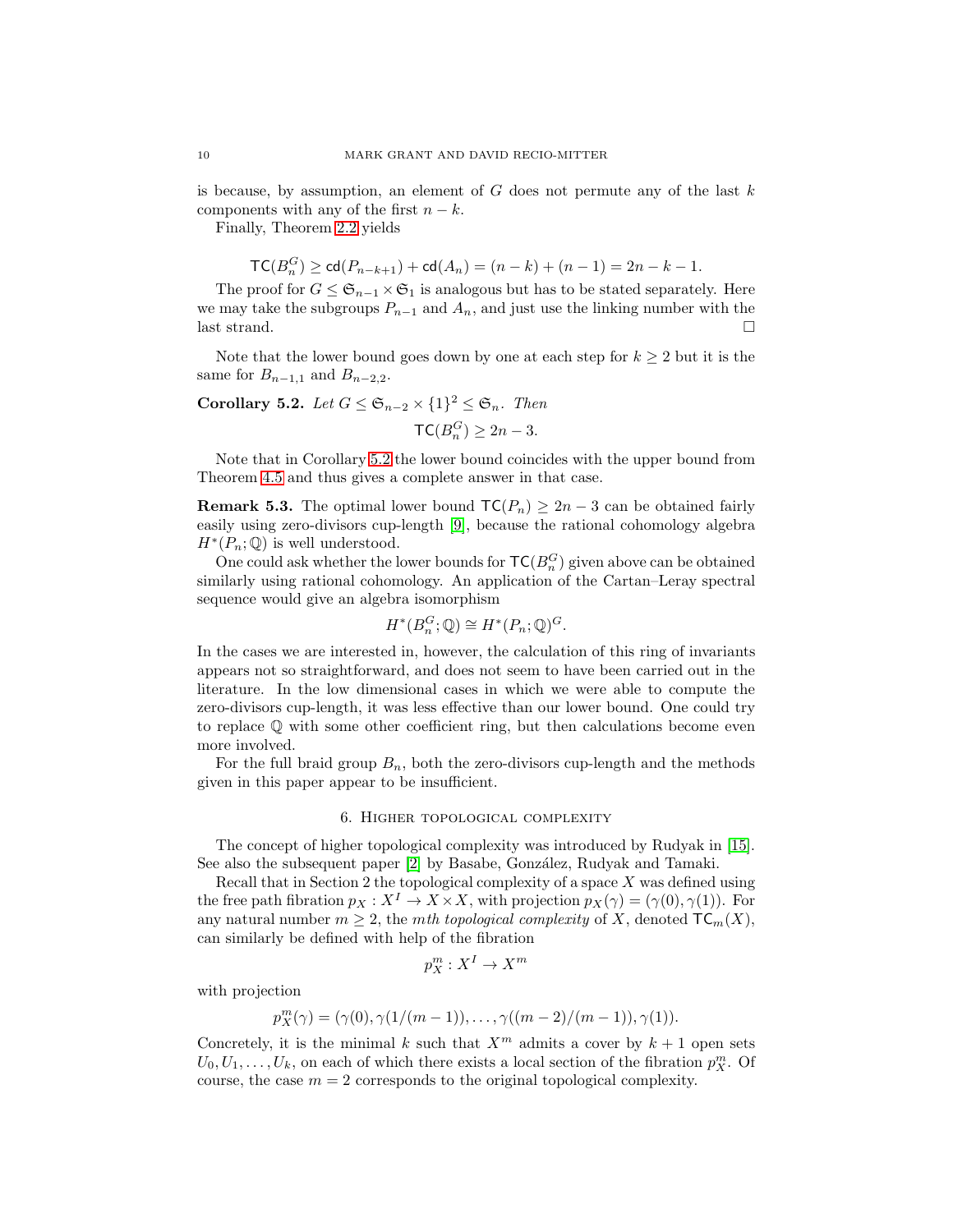is because, by assumption, an element of  $G$  does not permute any of the last  $k$ components with any of the first  $n - k$ .

Finally, Theorem [2.2](#page-2-0) yields

$$
TC(B_n^G) \geq \text{cd}(P_{n-k+1}) + \text{cd}(A_n) = (n-k) + (n-1) = 2n - k - 1.
$$

The proof for  $G \leq \mathfrak{S}_{n-1} \times \mathfrak{S}_1$  is analogous but has to be stated separately. Here we may take the subgroups  $P_{n-1}$  and  $A_n$ , and just use the linking number with the last strand.  $\square$ 

Note that the lower bound goes down by one at each step for  $k \geq 2$  but it is the same for  $B_{n-1,1}$  and  $B_{n-2,2}$ .

<span id="page-9-1"></span>Corollary 5.2. Let 
$$
G \leq \mathfrak{S}_{n-2} \times \{1\}^2 \leq \mathfrak{S}_n
$$
. Then  
\n
$$
\mathsf{TC}(B_n^G) \geq 2n - 3.
$$

Note that in Corollary [5.2](#page-9-1) the lower bound coincides with the upper bound from Theorem [4.5](#page-7-3) and thus gives a complete answer in that case.

**Remark 5.3.** The optimal lower bound  $TC(P_n) \geq 2n - 3$  can be obtained fairly easily using zero-divisors cup-length [\[9\]](#page-10-2), because the rational cohomology algebra  $H^*(P_n; \mathbb{Q})$  is well understood.

One could ask whether the lower bounds for  $TC(B_n^G)$  given above can be obtained similarly using rational cohomology. An application of the Cartan–Leray spectral sequence would give an algebra isomorphism

$$
H^*(B_n^G; \mathbb{Q}) \cong H^*(P_n; \mathbb{Q})^G.
$$

In the cases we are interested in, however, the calculation of this ring of invariants appears not so straightforward, and does not seem to have been carried out in the literature. In the low dimensional cases in which we were able to compute the zero-divisors cup-length, it was less effective than our lower bound. One could try to replace Q with some other coefficient ring, but then calculations become even more involved.

<span id="page-9-0"></span>For the full braid group  $B_n$ , both the zero-divisors cup-length and the methods given in this paper appear to be insufficient.

#### 6. Higher topological complexity

The concept of higher topological complexity was introduced by Rudyak in [\[15\]](#page-11-6). See also the subsequent paper [\[2\]](#page-10-9) by Basabe, González, Rudyak and Tamaki.

Recall that in Section 2 the topological complexity of a space X was defined using the free path fibration  $p_X : X^I \to X \times X$ , with projection  $p_X(\gamma) = (\gamma(0), \gamma(1))$ . For any natural number  $m \geq 2$ , the *mth topological complexity* of X, denoted  $TC_m(X)$ , can similarly be defined with help of the fibration

$$
p_X^m : X^I \to X^m
$$

with projection

$$
p_X^m(\gamma) = (\gamma(0), \gamma(1/(m-1)), \dots, \gamma((m-2)/(m-1)), \gamma(1)).
$$

Concretely, it is the minimal k such that  $X^m$  admits a cover by  $k + 1$  open sets  $U_0, U_1, \ldots, U_k$ , on each of which there exists a local section of the fibration  $p_X^m$ . Of course, the case  $m = 2$  corresponds to the original topological complexity.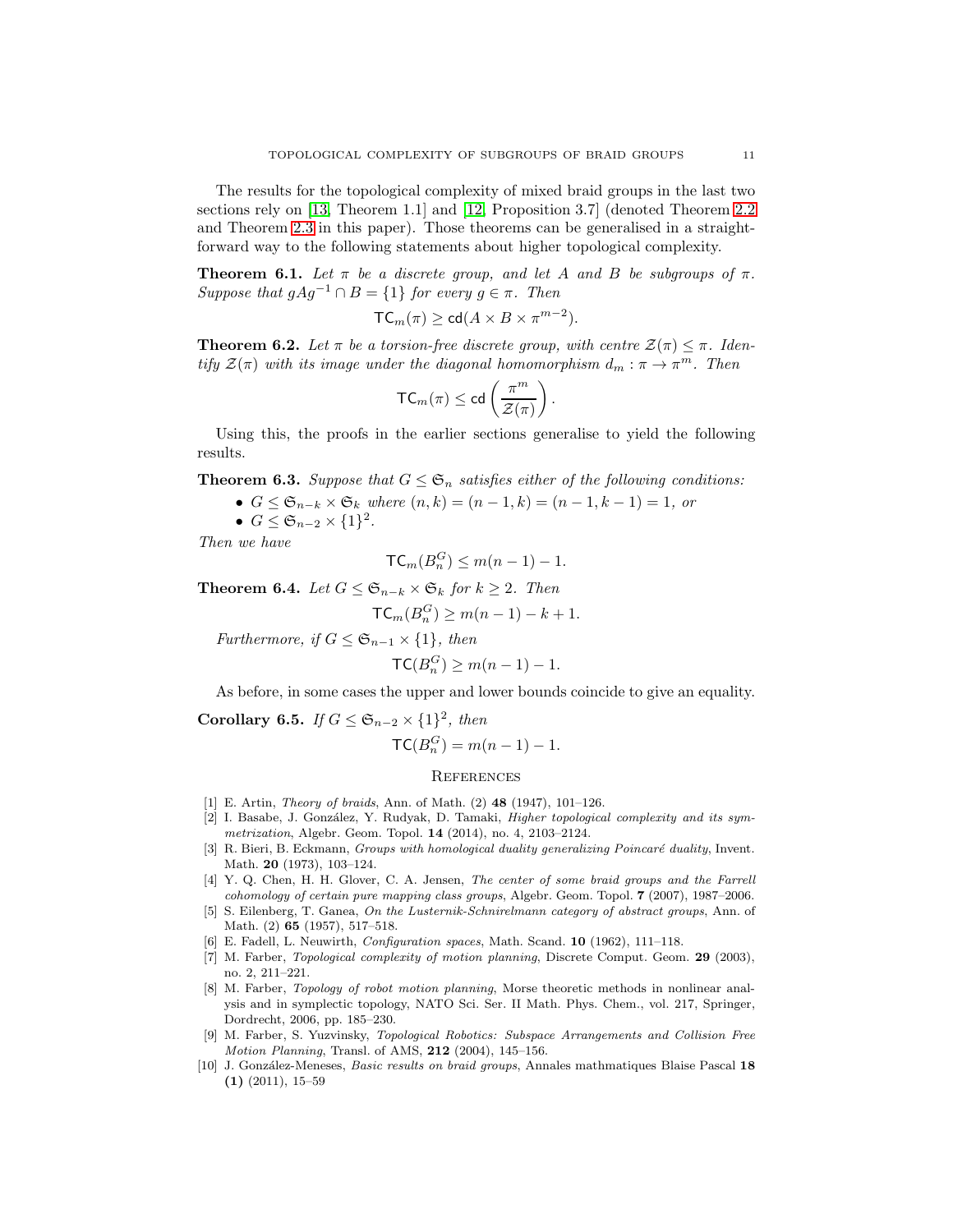The results for the topological complexity of mixed braid groups in the last two sections rely on [\[13,](#page-11-0) Theorem 1.1] and [\[12,](#page-11-1) Proposition 3.7] (denoted Theorem [2.2](#page-2-0) and Theorem [2.3](#page-2-1) in this paper). Those theorems can be generalised in a straightforward way to the following statements about higher topological complexity.

**Theorem 6.1.** Let  $\pi$  be a discrete group, and let A and B be subgroups of  $\pi$ . *Suppose that*  $gAg^{-1} \cap B = \{1\}$  *for every*  $g \in \pi$ *. Then* 

$$
\mathsf{TC}_m(\pi) \ge \mathsf{cd}(A \times B \times \pi^{m-2}).
$$

**Theorem 6.2.** Let  $\pi$  be a torsion-free discrete group, with centre  $\mathcal{Z}(\pi) \leq \pi$ . Iden*tify*  $\mathcal{Z}(\pi)$  *with its image under the diagonal homomorphism*  $d_m : \pi \to \pi^m$ . Then

$$
\mathsf{TC}_m(\pi) \leq \mathsf{cd}\left(\frac{\pi^m}{\mathcal{Z}(\pi)}\right)
$$

.

Using this, the proofs in the earlier sections generalise to yield the following results.

**Theorem 6.3.** Suppose that  $G \leq \mathfrak{S}_n$  satisfies either of the following conditions:

•  $G \leq \mathfrak{S}_{n-k} \times \mathfrak{S}_k$  *where*  $(n, k) = (n - 1, k) = (n - 1, k - 1) = 1$ , *or* 

•  $G \leq \mathfrak{S}_{n-2} \times \{1\}^2$ .

*Then we have*

$$
\mathsf{TC}_m(B_n^G) \leq m(n-1) - 1.
$$

**Theorem 6.4.** *Let*  $G$  ≤  $\mathfrak{S}_{n-k}$  ×  $\mathfrak{S}_k$  *for*  $k ≥ 2$ *. Then* 

$$
\mathsf{TC}_m(B_n^G) \ge m(n-1) - k + 1.
$$

*Furthermore, if*  $G \leq \mathfrak{S}_{n-1} \times \{1\}$ *, then* 

$$
\mathsf{TC}(B_n^G) \ge m(n-1) - 1.
$$

As before, in some cases the upper and lower bounds coincide to give an equality.

Corollary 6.5. *If*  $G \leq \mathfrak{S}_{n-2} \times \{1\}^2$ , then

$$
\mathsf{TC}(B_n^G) = m(n-1) - 1.
$$

## **REFERENCES**

- <span id="page-10-9"></span><span id="page-10-5"></span>[1] E. Artin, Theory of braids, Ann. of Math. (2) 48 (1947), 101–126.
- [2] I. Basabe, J. González, Y. Rudyak, D. Tamaki, *Higher topological complexity and its sym*metrization, Algebr. Geom. Topol. 14 (2014), no. 4, 2103–2124.
- <span id="page-10-7"></span>[3] R. Bieri, B. Eckmann, Groups with homological duality generalizing Poincaré duality, Invent. Math. 20 (1973), 103–124.
- <span id="page-10-3"></span>[4] Y. Q. Chen, H. H. Glover, C. A. Jensen, The center of some braid groups and the Farrell cohomology of certain pure mapping class groups, Algebr. Geom. Topol. 7 (2007), 1987–2006.
- <span id="page-10-4"></span>[5] S. Eilenberg, T. Ganea, On the Lusternik-Schnirelmann category of abstract groups, Ann. of Math. (2) 65 (1957), 517–518.
- <span id="page-10-6"></span><span id="page-10-0"></span>[6] E. Fadell, L. Neuwirth, Configuration spaces, Math. Scand. 10 (1962), 111–118.
- [7] M. Farber, Topological complexity of motion planning, Discrete Comput. Geom. 29 (2003), no. 2, 211–221.
- <span id="page-10-1"></span>[8] M. Farber, Topology of robot motion planning, Morse theoretic methods in nonlinear analysis and in symplectic topology, NATO Sci. Ser. II Math. Phys. Chem., vol. 217, Springer, Dordrecht, 2006, pp. 185–230.
- <span id="page-10-2"></span>[9] M. Farber, S. Yuzvinsky, Topological Robotics: Subspace Arrangements and Collision Free Motion Planning, Transl. of AMS, 212 (2004), 145–156.
- <span id="page-10-8"></span>[10] J. González-Meneses, Basic results on braid groups, Annales mathmatiques Blaise Pascal 18  $(1)$   $(2011)$ , 15–59